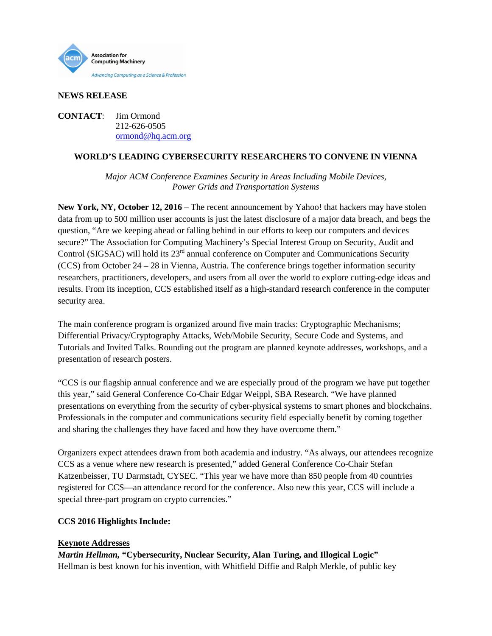

### **NEWS RELEASE**

**CONTACT**: Jim Ormond 212-626-0505 [ormond@hq.acm.org](mailto:ormond@hq.acm.org)

## **WORLD'S LEADING CYBERSECURITY RESEARCHERS TO CONVENE IN VIENNA**

*Major ACM Conference Examines Security in Areas Including Mobile Devices, Power Grids and Transportation Systems* 

**New York, NY, October 12, 2016** – The recent announcement by Yahoo! that hackers may have stolen data from up to 500 million user accounts is just the latest disclosure of a major data breach, and begs the question, "Are we keeping ahead or falling behind in our efforts to keep our computers and devices secure?" The Association for Computing Machinery's Special Interest Group on Security, Audit and Control (SIGSAC) will hold its 23<sup>rd</sup> annual conference on Computer and Communications Security (CCS) from October 24 – 28 in Vienna, Austria. The conference brings together information security researchers, practitioners, developers, and users from all over the world to explore cutting-edge ideas and results. From its inception, CCS established itself as a high-standard research conference in the computer security area.

The main conference program is organized around five main tracks: Cryptographic Mechanisms; Differential Privacy/Cryptography Attacks, Web/Mobile Security, Secure Code and Systems, and Tutorials and Invited Talks. Rounding out the program are planned keynote addresses, workshops, and a presentation of research posters.

"CCS is our flagship annual conference and we are especially proud of the program we have put together this year," said General Conference Co-Chair Edgar Weippl, SBA Research. "We have planned presentations on everything from the security of cyber-physical systems to smart phones and blockchains. Professionals in the computer and communications security field especially benefit by coming together and sharing the challenges they have faced and how they have overcome them."

Organizers expect attendees drawn from both academia and industry. "As always, our attendees recognize CCS as a venue where new research is presented," added General Conference Co-Chair Stefan Katzenbeisser, TU Darmstadt, CYSEC. "This year we have more than 850 people from 40 countries registered for CCS—an attendance record for the conference. Also new this year, CCS will include a special three-part program on crypto currencies."

### **CCS 2016 Highlights Include:**

# **Keynote Addresses**

*Martin Hellman,* **"Cybersecurity, Nuclear Security, Alan Turing, and Illogical Logic"** [Hellman](https://www-ee.stanford.edu/~hellman/) is best known for his invention, with Whitfield Diffie and Ralph Merkle, of public key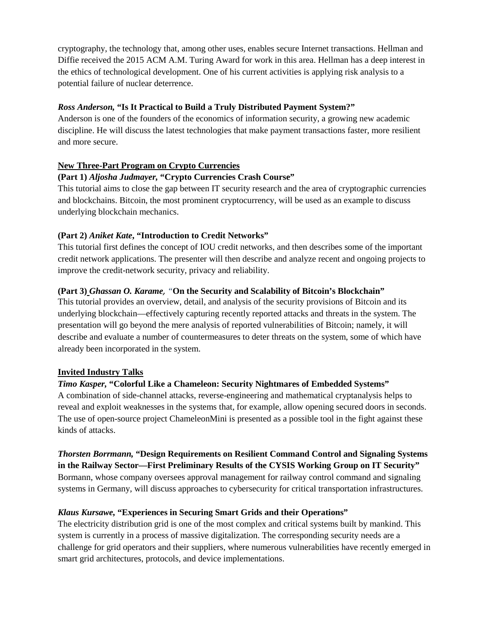cryptography, the technology that, among other uses, enables secure Internet transactions. Hellman and Diffie received the 2015 ACM A.M. Turing Award for work in this area. Hellman has a deep interest in the ethics of technological development. One of his current activities is applying risk analysis to a potential failure of nuclear deterrence.

## *Ross Anderson,* **"Is It Practical to Build a Truly Distributed Payment System?"**

Anderson is one of the founders of the economics of information security, a growing new academic discipline. He will discuss the latest technologies that make payment transactions faster, more resilient and more secure.

# **New Three-Part Program on Crypto Currencies**

# **(Part 1)** *Aljosha Judmayer,* **"Crypto Currencies Crash Course"**

This tutorial aims to close the gap between IT security research and the area of cryptographic currencies and blockchains. Bitcoin, the most prominent cryptocurrency, will be used as an example to discuss underlying blockchain mechanics.

# **(Part 2)** *Aniket Kate***, "Introduction to Credit Networks"**

This tutorial first defines the concept of IOU credit networks, and then describes some of the important credit network applications. The presenter will then describe and analyze recent and ongoing projects to improve the credit-network security, privacy and reliability.

## **(Part 3)** *Ghassan O. Karame, "***On the Security and Scalability of Bitcoin's Blockchain"**

This tutorial provides an overview, detail, and analysis of the security provisions of Bitcoin and its underlying blockchain—effectively capturing recently reported attacks and threats in the system. The presentation will go beyond the mere analysis of reported vulnerabilities of Bitcoin; namely, it will describe and evaluate a number of countermeasures to deter threats on the system, some of which have already been incorporated in the system.

### **Invited Industry Talks**

# *Timo Kasper,* **"Colorful Like a Chameleon: Security Nightmares of Embedded Systems"**

A combination of side-channel attacks, reverse-engineering and mathematical cryptanalysis helps to reveal and exploit weaknesses in the systems that, for example, allow opening secured doors in seconds. The use of open-source project ChameleonMini is presented as a possible tool in the fight against these kinds of attacks.

*Thorsten Borrmann,* **"Design Requirements on Resilient Command Control and Signaling Systems in the Railway Sector—First Preliminary Results of the CYSIS Working Group on IT Security"** Bormann, whose company oversees approval management for railway control command and signaling systems in Germany, will discuss approaches to cybersecurity for critical transportation infrastructures.

# *Klaus Kursawe,* **"Experiences in Securing Smart Grids and their Operations"**

The electricity distribution grid is one of the most complex and critical systems built by mankind. This system is currently in a process of massive digitalization. The corresponding security needs are a challenge for grid operators and their suppliers, where numerous vulnerabilities have recently emerged in smart grid architectures, protocols, and device implementations.